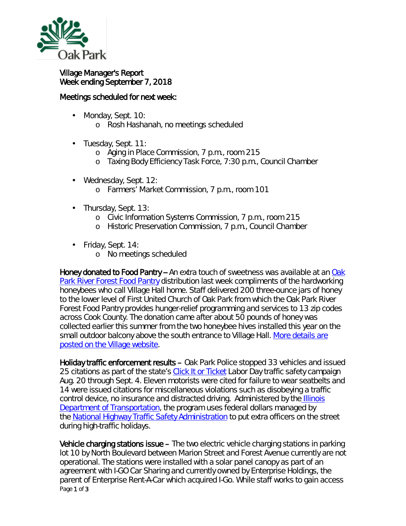

## Village Manager's Report Week ending September 7, 2018

## Meetings scheduled for next week:

- Monday, Sept. 10: ä,
	- o Rosh Hashanah, no meetings scheduled
- ä, Tuesday, Sept. 11:
	- o Aging in Place Commission, 7 p.m., room 215
	- o Taxing Body Efficiency Task Force, 7:30 p.m., Council Chamber
- Wednesday, Sept. 12:
	- o Farmers' Market Commission, 7 p.m., room 101
- $\hat{\mathbf{r}}$ Thursday, Sept. 13:
	- o Civic Information Systems Commission, 7 p.m., room 215
	- o Historic Preservation Commission, 7 p.m., Council Chamber
- Friday, Sept. 14:
	- o No meetings scheduled

Honey donated to Food Pantry -- An extra touch of sweetness was available at an [Oak](https://www.oprffoodpantry.org/)  [Park River Forest Food Pantry](https://www.oprffoodpantry.org/) distribution last week compliments of the hardworking honeybees who call Village Hall home. Staff delivered 200 three-ounce jars of honey to the lower level of First United Church of Oak Park from which the Oak Park River Forest Food Pantry provides hunger-relief programming and services to 13 zip codes across Cook County. The donation came after about 50 pounds of honey was collected earlier this summer from the two honeybee hives installed this year on the small outdoor balcony above the south entrance to Village Hall. More details are [posted on the Village website.](https://www.oak-park.us/news/village-donates-honey-harvest-food-pantry)

Holiday traffic enforcement results – Oak Park Police stopped 33 vehicles and issued 25 citations as part of the state's *[Click It or Ticket](http://www.buckleupillinois.org/What_is_CIOT.asp)* Labor Day traffic safety campaign Aug. 20 through Sept. 4. Eleven motorists were cited for failure to wear seatbelts and 14 were issued citations for miscellaneous violations such as disobeying a traffic control device, no insurance and distracted driving. Administered by the [Illinois](http://www.idot.illinois.gov/)  [Department of Transportation,](http://www.idot.illinois.gov/) the program uses federal dollars managed by the [National Highway Traffic Safety Administration](https://www.nhtsa.gov/) to put extra officers on the street during high-traffic holidays.

Page 1 of 3 Vehicle charging stations issue – The two electric vehicle charging stations in parking lot 10 by North Boulevard between Marion Street and Forest Avenue currently are not operational. The stations were installed with a solar panel canopy as part of an agreement with I-GO Car Sharing and currently owned by Enterprise Holdings, the parent of Enterprise Rent-A-Car which acquired I-Go. While staff works to gain access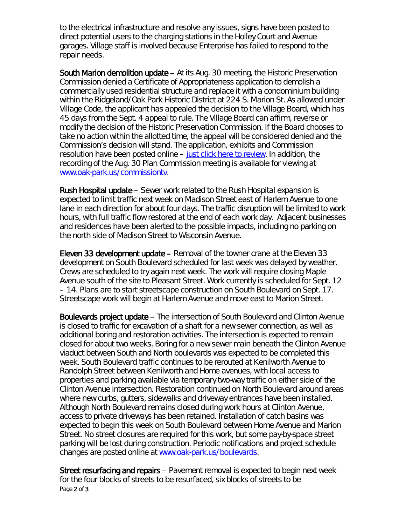to the electrical infrastructure and resolve any issues, signs have been posted to direct potential users to the charging stations in the Holley Court and Avenue garages. Village staff is involved because Enterprise has failed to respond to the repair needs.

South Marion demolition update – At its Aug. 30 meeting, the Historic Preservation Commission denied a Certificate of Appropriateness application to demolish a commercially used residential structure and replace it with a condominium building within the Ridgeland/Oak Park Historic District at 224 S. Marion St. As allowed under Village Code, the applicant has appealed the decision to the Village Board, which has 45 days from the Sept. 4 appeal to rule. The Village Board can affirm, reverse or modify the decision of the Historic Preservation Commission. If the Board chooses to take no action within the allotted time, the appeal will be considered denied and the Commission's decision will stand. The application, exhibits and Commission resolution have been posted online – [just click here to review.](http://www.oak-park.us/sites/default/files/456678891/2018-08-30-224-s-marion-coa-documents.pdf) In addition, the recording of the Aug. 30 Plan Commission meeting is available for viewing at [www.oak-park.us/commissiontv.](http://www.oak-park.us/commissiontv)

Rush Hospital update – Sewer work related to the Rush Hospital expansion is expected to limit traffic next week on Madison Street east of Harlem Avenue to one lane in each direction for about four days. The traffic disruption will be limited to work hours, with full traffic flow restored at the end of each work day. Adjacent businesses and residences have been alerted to the possible impacts, including no parking on the north side of Madison Street to Wisconsin Avenue.

Eleven 33 development update – Removal of the towner crane at the Eleven 33 development on South Boulevard scheduled for last week was delayed by weather. Crews are scheduled to try again next week. The work will require closing Maple Avenue south of the site to Pleasant Street. Work currently is scheduled for Sept. 12 – 14. Plans are to start streetscape construction on South Boulevard on Sept. 17. Streetscape work will begin at Harlem Avenue and move east to Marion Street.

Boulevards project update – The intersection of South Boulevard and Clinton Avenue is closed to traffic for excavation of a shaft for a new sewer connection, as well as additional boring and restoration activities. The intersection is expected to remain closed for about two weeks. Boring for a new sewer main beneath the Clinton Avenue viaduct between South and North boulevards was expected to be completed this week. South Boulevard traffic continues to be rerouted at Kenilworth Avenue to Randolph Street between Kenilworth and Home avenues, with local access to properties and parking available via temporary two-way traffic on either side of the Clinton Avenue intersection. Restoration continued on North Boulevard around areas where new curbs, gutters, sidewalks and driveway entrances have been installed. Although North Boulevard remains closed during work hours at Clinton Avenue, access to private driveways has been retained. Installation of catch basins was expected to begin this week on South Boulevard between Home Avenue and Marion Street. No street closures are required for this work, but some pay-by-space street parking will be lost during construction. Periodic notifications and project schedule changes are posted online at [www.oak-park.us/boulevards.](http://www.oak-park.us/boulevards)

Page 2 of 3 Street resurfacing and repairs – Pavement removal is expected to begin next week for the four blocks of streets to be resurfaced, six blocks of streets to be